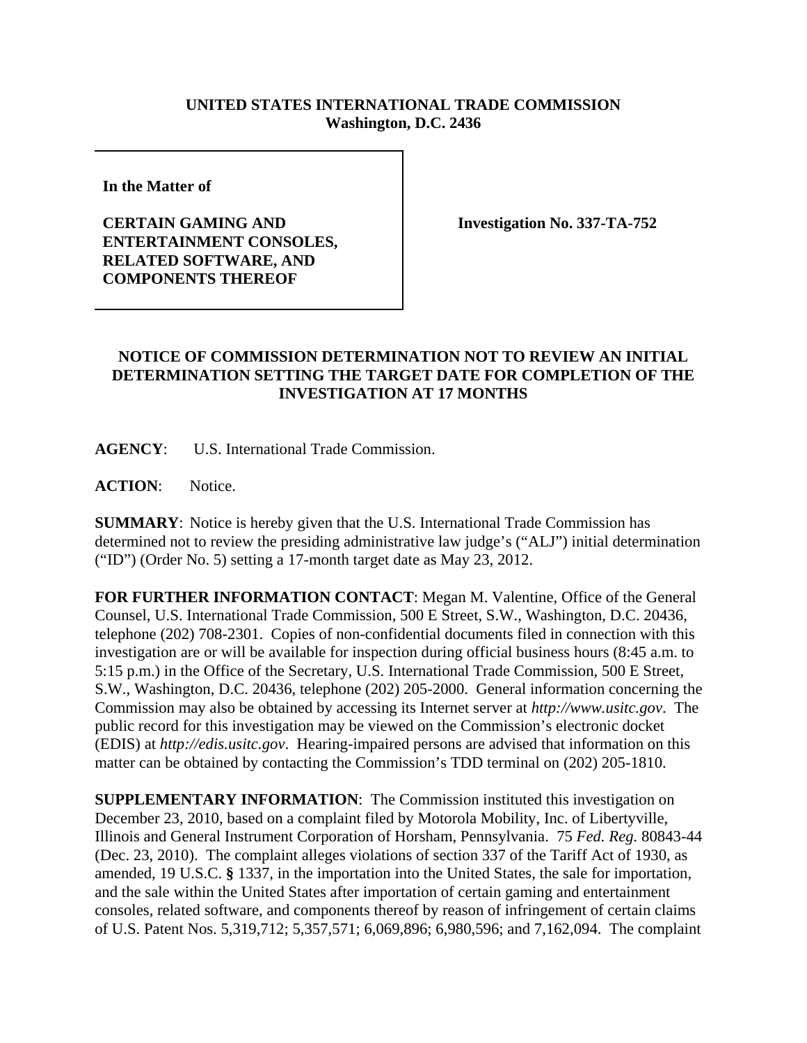## **UNITED STATES INTERNATIONAL TRADE COMMISSION Washington, D.C. 2436**

**In the Matter of** 

## **CERTAIN GAMING AND ENTERTAINMENT CONSOLES, RELATED SOFTWARE, AND COMPONENTS THEREOF**

**Investigation No. 337-TA-752**

## **NOTICE OF COMMISSION DETERMINATION NOT TO REVIEW AN INITIAL DETERMINATION SETTING THE TARGET DATE FOR COMPLETION OF THE INVESTIGATION AT 17 MONTHS**

**AGENCY**: U.S. International Trade Commission.

**ACTION**: Notice.

**SUMMARY**: Notice is hereby given that the U.S. International Trade Commission has determined not to review the presiding administrative law judge's ("ALJ") initial determination ("ID") (Order No. 5) setting a 17-month target date as May 23, 2012.

**FOR FURTHER INFORMATION CONTACT**: Megan M. Valentine, Office of the General Counsel, U.S. International Trade Commission, 500 E Street, S.W., Washington, D.C. 20436, telephone (202) 708-2301. Copies of non-confidential documents filed in connection with this investigation are or will be available for inspection during official business hours (8:45 a.m. to 5:15 p.m.) in the Office of the Secretary, U.S. International Trade Commission, 500 E Street, S.W., Washington, D.C. 20436, telephone (202) 205-2000. General information concerning the Commission may also be obtained by accessing its Internet server at *http://www.usitc.gov*. The public record for this investigation may be viewed on the Commission's electronic docket (EDIS) at *http://edis.usitc.gov*. Hearing-impaired persons are advised that information on this matter can be obtained by contacting the Commission's TDD terminal on (202) 205-1810.

**SUPPLEMENTARY INFORMATION**: The Commission instituted this investigation on December 23, 2010, based on a complaint filed by Motorola Mobility, Inc. of Libertyville, Illinois and General Instrument Corporation of Horsham, Pennsylvania. 75 *Fed. Reg.* 80843-44 (Dec. 23, 2010). The complaint alleges violations of section 337 of the Tariff Act of 1930, as amended, 19 U.S.C. **§** 1337, in the importation into the United States, the sale for importation, and the sale within the United States after importation of certain gaming and entertainment consoles, related software, and components thereof by reason of infringement of certain claims of U.S. Patent Nos. 5,319,712; 5,357,571; 6,069,896; 6,980,596; and 7,162,094. The complaint